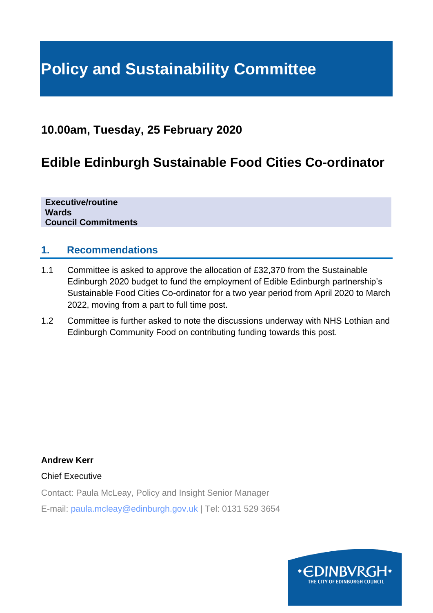# **Policy and Sustainability Committee**

# **10.00am, Tuesday, 25 February 2020**

# **Edible Edinburgh Sustainable Food Cities Co-ordinator**

**Executive/routine Wards Council Commitments**

#### **1. Recommendations**

- 1.1 Committee is asked to approve the allocation of £32,370 from the Sustainable Edinburgh 2020 budget to fund the employment of Edible Edinburgh partnership's Sustainable Food Cities Co-ordinator for a two year period from April 2020 to March 2022, moving from a part to full time post.
- 1.2 Committee is further asked to note the discussions underway with NHS Lothian and Edinburgh Community Food on contributing funding towards this post.

**Andrew Kerr**

#### Chief Executive

Contact: Paula McLeay, Policy and Insight Senior Manager

E-mail: paula.mcleay@edinburgh.gov.uk | Tel: 0131 529 3654

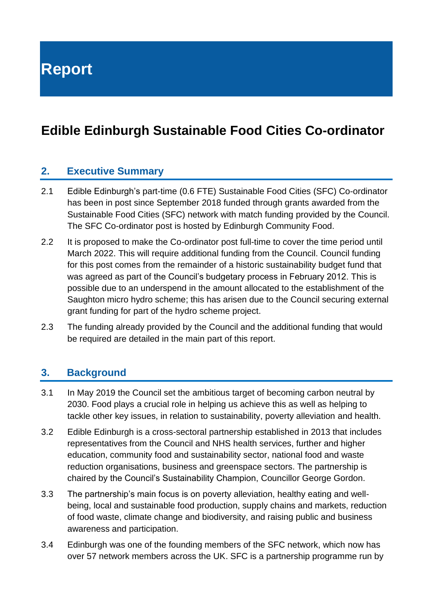**Report**

# **Edible Edinburgh Sustainable Food Cities Co-ordinator**

#### **2. Executive Summary**

- 2.1 Edible Edinburgh's part-time (0.6 FTE) Sustainable Food Cities (SFC) Co-ordinator has been in post since September 2018 funded through grants awarded from the Sustainable Food Cities (SFC) network with match funding provided by the Council. The SFC Co-ordinator post is hosted by Edinburgh Community Food.
- 2.2 It is proposed to make the Co-ordinator post full-time to cover the time period until March 2022. This will require additional funding from the Council. Council funding for this post comes from the remainder of a historic sustainability budget fund that was agreed as part of the Council's budgetary process in February 2012. This is possible due to an underspend in the amount allocated to the establishment of the Saughton micro hydro scheme; this has arisen due to the Council securing external grant funding for part of the hydro scheme project.
- 2.3 The funding already provided by the Council and the additional funding that would be required are detailed in the main part of this report.

#### **3. Background**

- 3.1 In May 2019 the Council set the ambitious target of becoming carbon neutral by 2030. Food plays a crucial role in helping us achieve this as well as helping to tackle other key issues, in relation to sustainability, poverty alleviation and health.
- 3.2 Edible Edinburgh is a cross-sectoral partnership established in 2013 that includes representatives from the Council and NHS health services, further and higher education, community food and sustainability sector, national food and waste reduction organisations, business and greenspace sectors. The partnership is chaired by the Council's Sustainability Champion, Councillor George Gordon.
- 3.3 The partnership's main focus is on poverty alleviation, healthy eating and wellbeing, local and sustainable food production, supply chains and markets, reduction of food waste, climate change and biodiversity, and raising public and business awareness and participation.
- 3.4 Edinburgh was one of the founding members of the SFC network, which now has over 57 network members across the UK. SFC is a partnership programme run by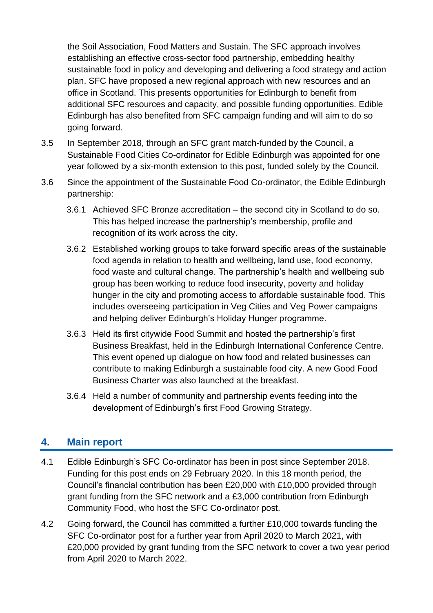the Soil Association, Food Matters and Sustain. The SFC approach involves establishing an effective cross-sector food partnership, embedding healthy sustainable food in policy and developing and delivering a food strategy and action plan. SFC have proposed a new regional approach with new resources and an office in Scotland. This presents opportunities for Edinburgh to benefit from additional SFC resources and capacity, and possible funding opportunities. Edible Edinburgh has also benefited from SFC campaign funding and will aim to do so going forward.

- 3.5 In September 2018, through an SFC grant match-funded by the Council, a Sustainable Food Cities Co-ordinator for Edible Edinburgh was appointed for one year followed by a six-month extension to this post, funded solely by the Council.
- 3.6 Since the appointment of the Sustainable Food Co-ordinator, the Edible Edinburgh partnership:
	- 3.6.1 Achieved SFC Bronze accreditation the second city in Scotland to do so. This has helped increase the partnership's membership, profile and recognition of its work across the city.
	- 3.6.2 Established working groups to take forward specific areas of the sustainable food agenda in relation to health and wellbeing, land use, food economy, food waste and cultural change. The partnership's health and wellbeing sub group has been working to reduce food insecurity, poverty and holiday hunger in the city and promoting access to affordable sustainable food. This includes overseeing participation in Veg Cities and Veg Power campaigns and helping deliver Edinburgh's Holiday Hunger programme.
	- 3.6.3 Held its first citywide Food Summit and hosted the partnership's first Business Breakfast, held in the Edinburgh International Conference Centre. This event opened up dialogue on how food and related businesses can contribute to making Edinburgh a sustainable food city. A new Good Food Business Charter was also launched at the breakfast.
	- 3.6.4 Held a number of community and partnership events feeding into the development of Edinburgh's first Food Growing Strategy.

## **4. Main report**

- 4.1 Edible Edinburgh's SFC Co-ordinator has been in post since September 2018. Funding for this post ends on 29 February 2020. In this 18 month period, the Council's financial contribution has been £20,000 with £10,000 provided through grant funding from the SFC network and a £3,000 contribution from Edinburgh Community Food, who host the SFC Co-ordinator post.
- 4.2 Going forward, the Council has committed a further £10,000 towards funding the SFC Co-ordinator post for a further year from April 2020 to March 2021, with £20,000 provided by grant funding from the SFC network to cover a two year period from April 2020 to March 2022.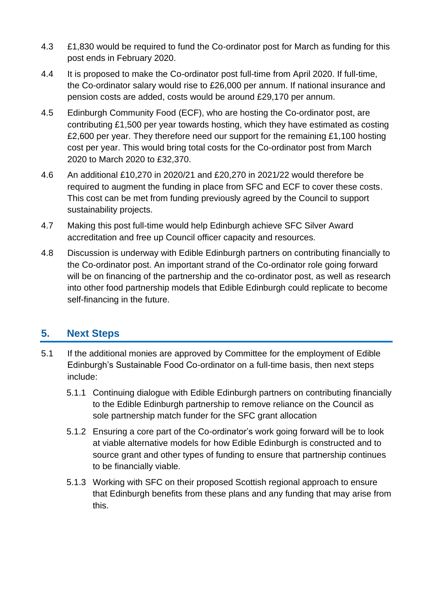- 4.3 £1,830 would be required to fund the Co-ordinator post for March as funding for this post ends in February 2020.
- 4.4 It is proposed to make the Co-ordinator post full-time from April 2020. If full-time, the Co-ordinator salary would rise to £26,000 per annum. If national insurance and pension costs are added, costs would be around £29,170 per annum.
- 4.5 Edinburgh Community Food (ECF), who are hosting the Co-ordinator post, are contributing £1,500 per year towards hosting, which they have estimated as costing £2,600 per year. They therefore need our support for the remaining £1,100 hosting cost per year. This would bring total costs for the Co-ordinator post from March 2020 to March 2020 to £32,370.
- 4.6 An additional £10,270 in 2020/21 and £20,270 in 2021/22 would therefore be required to augment the funding in place from SFC and ECF to cover these costs. This cost can be met from funding previously agreed by the Council to support sustainability projects.
- 4.7 Making this post full-time would help Edinburgh achieve SFC Silver Award accreditation and free up Council officer capacity and resources.
- 4.8 Discussion is underway with Edible Edinburgh partners on contributing financially to the Co-ordinator post. An important strand of the Co-ordinator role going forward will be on financing of the partnership and the co-ordinator post, as well as research into other food partnership models that Edible Edinburgh could replicate to become self-financing in the future.

# **5. Next Steps**

- 5.1 If the additional monies are approved by Committee for the employment of Edible Edinburgh's Sustainable Food Co-ordinator on a full-time basis, then next steps include:
	- 5.1.1 Continuing dialogue with Edible Edinburgh partners on contributing financially to the Edible Edinburgh partnership to remove reliance on the Council as sole partnership match funder for the SFC grant allocation
	- 5.1.2 Ensuring a core part of the Co-ordinator's work going forward will be to look at viable alternative models for how Edible Edinburgh is constructed and to source grant and other types of funding to ensure that partnership continues to be financially viable.
	- 5.1.3 Working with SFC on their proposed Scottish regional approach to ensure that Edinburgh benefits from these plans and any funding that may arise from this.